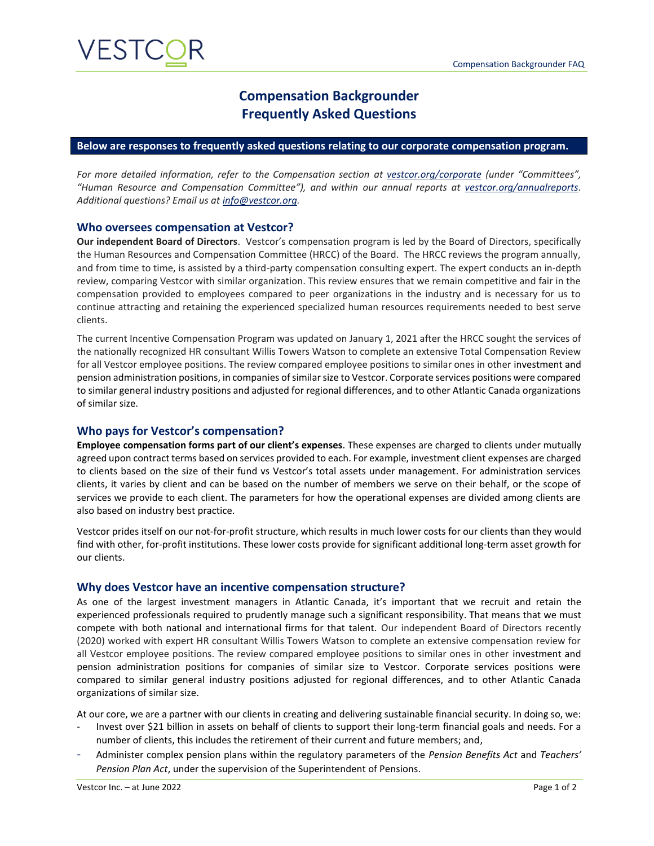## **Compensation Backgrounder Frequently Asked Questions**

#### **Below are responses to frequently asked questions relating to our corporate compensation program.**

*For more detailed information, refer to the Compensation section at [vestcor.org/corporate](http://www.vestcor.org/corporate) (under "Committees", "Human Resource and Compensation Committee"), and within our annual reports at [vestcor.org/annualreports.](mailto:vestcor.org/annualreports) Additional questions? Email us a[t info@vestcor.org.](mailto:info@vestcor.org)*

#### **Who oversees compensation at Vestcor?**

**Our independent Board of Directors**. Vestcor's compensation program is led by the Board of Directors, specifically the Human Resources and Compensation Committee (HRCC) of the Board. The HRCC reviews the program annually, and from time to time, is assisted by a third-party compensation consulting expert. The expert conducts an in-depth review, comparing Vestcor with similar organization. This review ensures that we remain competitive and fair in the compensation provided to employees compared to peer organizations in the industry and is necessary for us to continue attracting and retaining the experienced specialized human resources requirements needed to best serve clients.

The current Incentive Compensation Program was updated on January 1, 2021 after the HRCC sought the services of the nationally recognized HR consultant Willis Towers Watson to complete an extensive Total Compensation Review for all Vestcor employee positions. The review compared employee positions to similar ones in other investment and pension administration positions, in companies of similar size to Vestcor. Corporate services positions were compared to similar general industry positions and adjusted for regional differences, and to other Atlantic Canada organizations of similar size.

#### **Who pays for Vestcor's compensation?**

**Employee compensation forms part of our client's expenses**. These expenses are charged to clients under mutually agreed upon contract terms based on services provided to each. For example, investment client expenses are charged to clients based on the size of their fund vs Vestcor's total assets under management. For administration services clients, it varies by client and can be based on the number of members we serve on their behalf, or the scope of services we provide to each client. The parameters for how the operational expenses are divided among clients are also based on industry best practice.

Vestcor prides itself on our not-for-profit structure, which results in much lower costs for our clients than they would find with other, for-profit institutions. These lower costs provide for significant additional long-term asset growth for our clients.

#### **Why does Vestcor have an incentive compensation structure?**

As one of the largest investment managers in Atlantic Canada, it's important that we recruit and retain the experienced professionals required to prudently manage such a significant responsibility. That means that we must compete with both national and international firms for that talent. Our independent Board of Directors recently (2020) worked with expert HR consultant Willis Towers Watson to complete an extensive compensation review for all Vestcor employee positions. The review compared employee positions to similar ones in other investment and pension administration positions for companies of similar size to Vestcor. Corporate services positions were compared to similar general industry positions adjusted for regional differences, and to other Atlantic Canada organizations of similar size.

At our core, we are a partner with our clients in creating and delivering sustainable financial security. In doing so, we:

- Invest over \$21 billion in assets on behalf of clients to support their long-term financial goals and needs. For a number of clients, this includes the retirement of their current and future members; and,
- Administer complex pension plans within the regulatory parameters of the *Pension Benefits Act* and *Teachers' Pension Plan Act*, under the supervision of the Superintendent of Pensions.